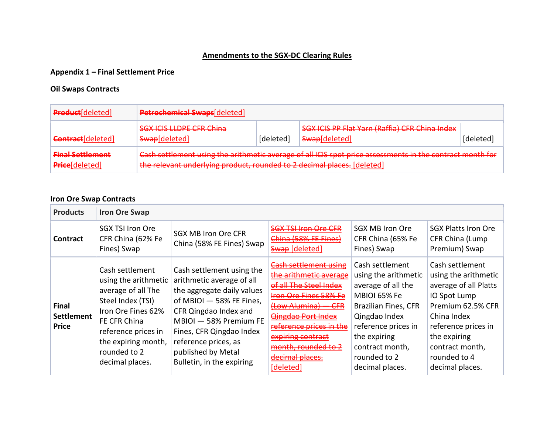## Amendments to the SGX-DC Clearing Rules

## Appendix 1 – Final Settlement Price

## Oil Swaps Contracts

| <b>Product</b> [deleted]                          | <b>Petrochemical Swaps</b> [deleted]                                                                                                                                                 |           |                                                                 |           |  |  |
|---------------------------------------------------|--------------------------------------------------------------------------------------------------------------------------------------------------------------------------------------|-----------|-----------------------------------------------------------------|-----------|--|--|
| <b>Contract</b> [deleted]                         | <b>SGX ICIS LLDPE CFR China</b><br>Swap[deleted]                                                                                                                                     | [deleted] | SGX ICIS PP Flat Yarn (Raffia) CFR China Index<br>Swap[deleted] | [deleted] |  |  |
| <b>Final Settlement</b><br><b>Price</b> [deleted] | Cash settlement using the arithmetic average of all ICIS spot price assessments in the contract month for<br>the relevant underlying product, rounded to 2 decimal places. [deleted] |           |                                                                 |           |  |  |

## Iron Ore Swap Contracts

| <b>Products</b>                                   | <b>Iron Ore Swap</b>                                                                                                                                                                                      |                                                                                                                                                                                                                                                                            |                                                                                                                                                                                                                                                                                           |                                                                                                                                                                                                                            |                                                                                                                                                                                                                   |  |  |
|---------------------------------------------------|-----------------------------------------------------------------------------------------------------------------------------------------------------------------------------------------------------------|----------------------------------------------------------------------------------------------------------------------------------------------------------------------------------------------------------------------------------------------------------------------------|-------------------------------------------------------------------------------------------------------------------------------------------------------------------------------------------------------------------------------------------------------------------------------------------|----------------------------------------------------------------------------------------------------------------------------------------------------------------------------------------------------------------------------|-------------------------------------------------------------------------------------------------------------------------------------------------------------------------------------------------------------------|--|--|
| <b>Contract</b>                                   | SGX TSI Iron Ore<br>CFR China (62% Fe<br>Fines) Swap                                                                                                                                                      | SGX MB Iron Ore CFR<br>China (58% FE Fines) Swap                                                                                                                                                                                                                           | <b>SGX TSI Iron Ore CFR</b><br>China (58% FE Fines)<br>Swap [deleted]                                                                                                                                                                                                                     | SGX MB Iron Ore<br>CFR China (65% Fe<br>Fines) Swap                                                                                                                                                                        | <b>SGX Platts Iron Ore</b><br>CFR China (Lump<br>Premium) Swap                                                                                                                                                    |  |  |
| <b>Final</b><br><b>Settlement</b><br><b>Price</b> | Cash settlement<br>using the arithmetic<br>average of all The<br>Steel Index (TSI)<br>Iron Ore Fines 62%<br>FE CFR China<br>reference prices in<br>the expiring month,<br>rounded to 2<br>decimal places. | Cash settlement using the<br>arithmetic average of all<br>the aggregate daily values<br>of MBIOI - 58% FE Fines,<br>CFR Qingdao Index and<br>MBIOI - 58% Premium FE<br>Fines, CFR Qingdao Index<br>reference prices, as<br>published by Metal<br>Bulletin, in the expiring | <b>Cash settlement using</b><br>the arithmetic average<br>of all The Steel Index<br><b>Iron Ore Fines 58% Fe</b><br>(Low Alumina) -<br>EFR<br><b>Qingdao Port Index</b><br>reference prices in the<br><del>expiring contract</del><br>month, rounded to 2<br>decimal places.<br>[deleted] | Cash settlement<br>using the arithmetic<br>average of all the<br>MBIOI 65% Fe<br><b>Brazilian Fines, CFR</b><br>Qingdao Index<br>reference prices in<br>the expiring<br>contract month,<br>rounded to 2<br>decimal places. | Cash settlement<br>using the arithmetic<br>average of all Platts<br>IO Spot Lump<br>Premium 62.5% CFR<br>China Index<br>reference prices in<br>the expiring<br>contract month,<br>rounded to 4<br>decimal places. |  |  |